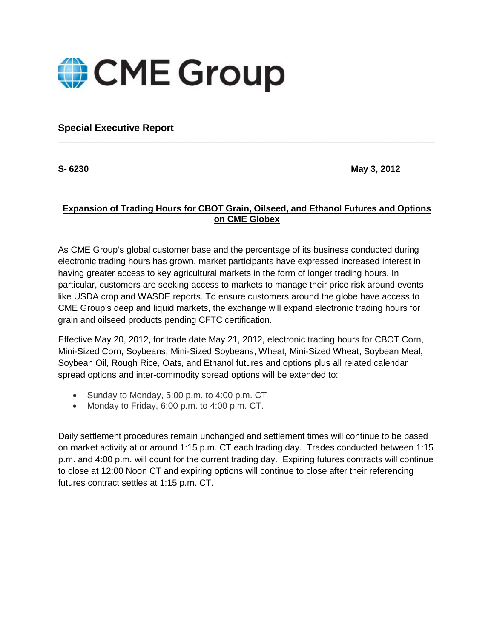

**Special Executive Report**

**S- 6230 May 3, 2012**

## **Expansion of Trading Hours for CBOT Grain, Oilseed, and Ethanol Futures and Options on CME Globex**

**\_\_\_\_\_\_\_\_\_\_\_\_\_\_\_\_\_\_\_\_\_\_\_\_\_\_\_\_\_\_\_\_\_\_\_\_\_\_\_\_\_\_\_\_\_\_\_\_\_\_\_\_\_\_\_\_\_\_\_\_\_\_\_\_\_\_\_\_\_\_**

As CME Group's global customer base and the percentage of its business conducted during electronic trading hours has grown, market participants have expressed increased interest in having greater access to key agricultural markets in the form of longer trading hours. In particular, customers are seeking access to markets to manage their price risk around events like USDA crop and WASDE reports. To ensure customers around the globe have access to CME Group's deep and liquid markets, the exchange will expand electronic trading hours for grain and oilseed products pending CFTC certification.

Effective May 20, 2012, for trade date May 21, 2012, electronic trading hours for CBOT Corn, Mini-Sized Corn, Soybeans, Mini-Sized Soybeans, Wheat, Mini-Sized Wheat, Soybean Meal, Soybean Oil, Rough Rice, Oats, and Ethanol futures and options plus all related calendar spread options and inter-commodity spread options will be extended to:

- Sunday to Monday, 5:00 p.m. to 4:00 p.m. CT
- Monday to Friday, 6:00 p.m. to 4:00 p.m. CT.

Daily settlement procedures remain unchanged and settlement times will continue to be based on market activity at or around 1:15 p.m. CT each trading day. Trades conducted between 1:15 p.m. and 4:00 p.m. will count for the current trading day. Expiring futures contracts will continue to close at 12:00 Noon CT and expiring options will continue to close after their referencing futures contract settles at 1:15 p.m. CT.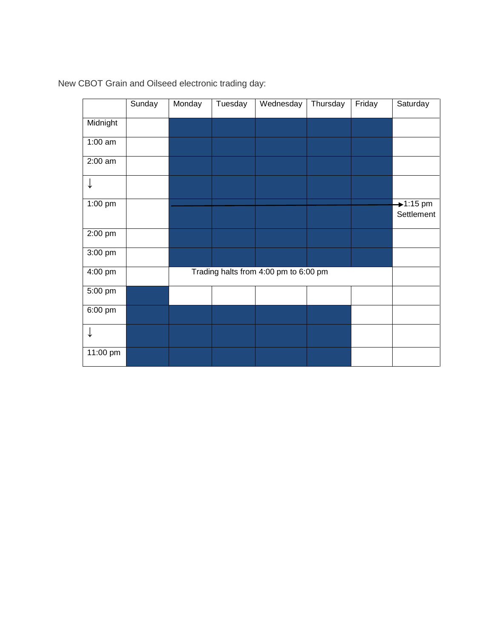|                   | Sunday | Monday                                | Tuesday | Wednesday | Thursday | Friday | Saturday                 |
|-------------------|--------|---------------------------------------|---------|-----------|----------|--------|--------------------------|
| Midnight          |        |                                       |         |           |          |        |                          |
| $1:00$ am         |        |                                       |         |           |          |        |                          |
| $2:00$ am         |        |                                       |         |           |          |        |                          |
|                   |        |                                       |         |           |          |        |                          |
| 1:00 pm           |        |                                       |         |           |          |        | $+1:15$ pm<br>Settlement |
| 2:00 pm           |        |                                       |         |           |          |        |                          |
| 3:00 pm           |        |                                       |         |           |          |        |                          |
| 4:00 pm           |        | Trading halts from 4:00 pm to 6:00 pm |         |           |          |        |                          |
| 5:00 pm           |        |                                       |         |           |          |        |                          |
| $6:00 \text{ pm}$ |        |                                       |         |           |          |        |                          |
| ↓                 |        |                                       |         |           |          |        |                          |
| 11:00 pm          |        |                                       |         |           |          |        |                          |

New CBOT Grain and Oilseed electronic trading day: